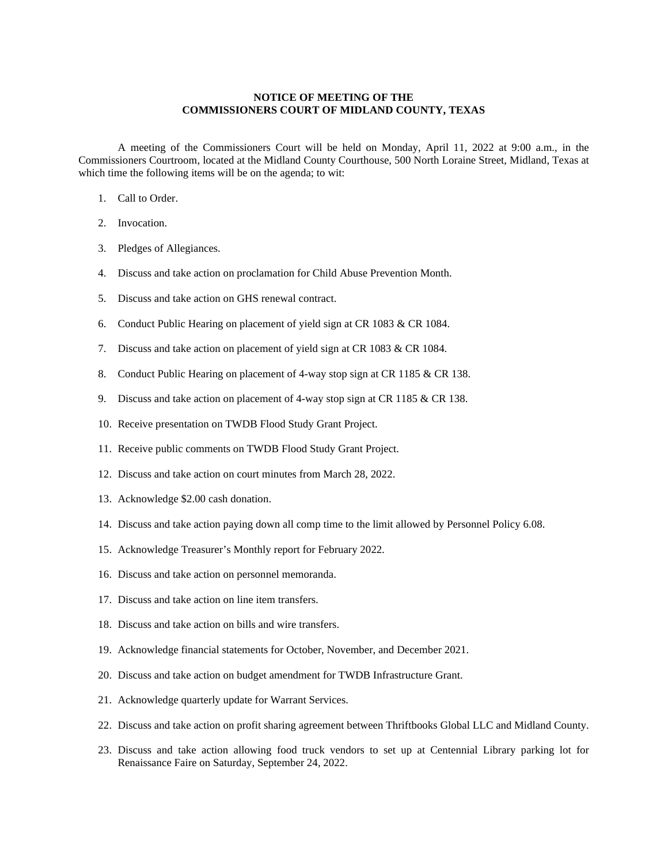## **NOTICE OF MEETING OF THE COMMISSIONERS COURT OF MIDLAND COUNTY, TEXAS**

A meeting of the Commissioners Court will be held on Monday, April 11, 2022 at 9:00 a.m., in the Commissioners Courtroom, located at the Midland County Courthouse, 500 North Loraine Street, Midland, Texas at which time the following items will be on the agenda; to wit:

- 1. Call to Order.
- 2. Invocation.
- 3. Pledges of Allegiances.
- 4. Discuss and take action on proclamation for Child Abuse Prevention Month.
- 5. Discuss and take action on GHS renewal contract.
- 6. Conduct Public Hearing on placement of yield sign at CR 1083 & CR 1084.
- 7. Discuss and take action on placement of yield sign at CR 1083 & CR 1084.
- 8. Conduct Public Hearing on placement of 4-way stop sign at CR 1185 & CR 138.
- 9. Discuss and take action on placement of 4-way stop sign at CR 1185 & CR 138.
- 10. Receive presentation on TWDB Flood Study Grant Project.
- 11. Receive public comments on TWDB Flood Study Grant Project.
- 12. Discuss and take action on court minutes from March 28, 2022.
- 13. Acknowledge \$2.00 cash donation.
- 14. Discuss and take action paying down all comp time to the limit allowed by Personnel Policy 6.08.
- 15. Acknowledge Treasurer's Monthly report for February 2022.
- 16. Discuss and take action on personnel memoranda.
- 17. Discuss and take action on line item transfers.
- 18. Discuss and take action on bills and wire transfers.
- 19. Acknowledge financial statements for October, November, and December 2021.
- 20. Discuss and take action on budget amendment for TWDB Infrastructure Grant.
- 21. Acknowledge quarterly update for Warrant Services.
- 22. Discuss and take action on profit sharing agreement between Thriftbooks Global LLC and Midland County.
- 23. Discuss and take action allowing food truck vendors to set up at Centennial Library parking lot for Renaissance Faire on Saturday, September 24, 2022.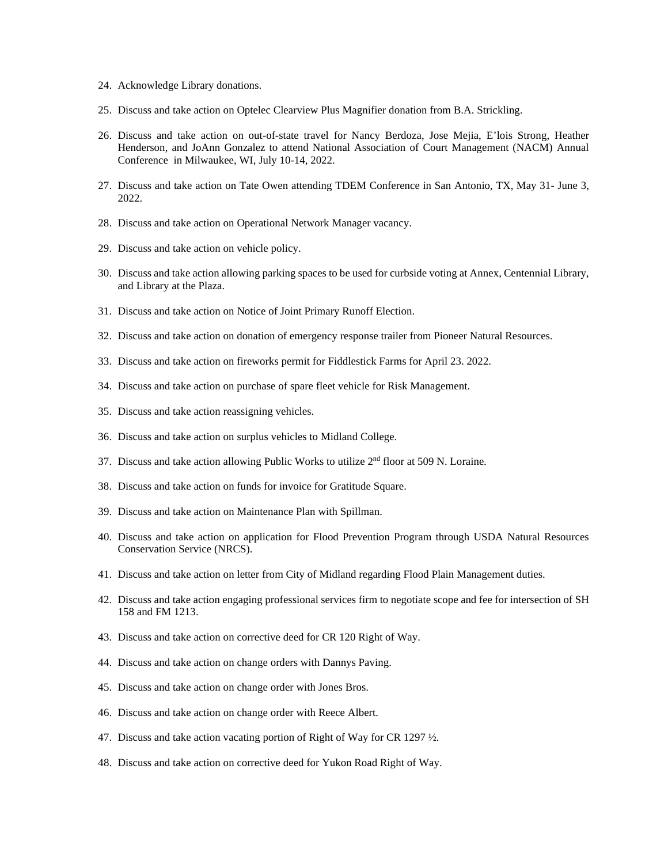- 24. Acknowledge Library donations.
- 25. Discuss and take action on Optelec Clearview Plus Magnifier donation from B.A. Strickling.
- 26. Discuss and take action on out-of-state travel for Nancy Berdoza, Jose Mejia, E'lois Strong, Heather Henderson, and JoAnn Gonzalez to attend National Association of Court Management (NACM) Annual Conference in Milwaukee, WI, July 10-14, 2022.
- 27. Discuss and take action on Tate Owen attending TDEM Conference in San Antonio, TX, May 31- June 3, 2022.
- 28. Discuss and take action on Operational Network Manager vacancy.
- 29. Discuss and take action on vehicle policy.
- 30. Discuss and take action allowing parking spaces to be used for curbside voting at Annex, Centennial Library, and Library at the Plaza.
- 31. Discuss and take action on Notice of Joint Primary Runoff Election.
- 32. Discuss and take action on donation of emergency response trailer from Pioneer Natural Resources.
- 33. Discuss and take action on fireworks permit for Fiddlestick Farms for April 23. 2022.
- 34. Discuss and take action on purchase of spare fleet vehicle for Risk Management.
- 35. Discuss and take action reassigning vehicles.
- 36. Discuss and take action on surplus vehicles to Midland College.
- 37. Discuss and take action allowing Public Works to utilize 2nd floor at 509 N. Loraine.
- 38. Discuss and take action on funds for invoice for Gratitude Square.
- 39. Discuss and take action on Maintenance Plan with Spillman.
- 40. Discuss and take action on application for Flood Prevention Program through USDA Natural Resources Conservation Service (NRCS).
- 41. Discuss and take action on letter from City of Midland regarding Flood Plain Management duties.
- 42. Discuss and take action engaging professional services firm to negotiate scope and fee for intersection of SH 158 and FM 1213.
- 43. Discuss and take action on corrective deed for CR 120 Right of Way.
- 44. Discuss and take action on change orders with Dannys Paving.
- 45. Discuss and take action on change order with Jones Bros.
- 46. Discuss and take action on change order with Reece Albert.
- 47. Discuss and take action vacating portion of Right of Way for CR 1297 ½.
- 48. Discuss and take action on corrective deed for Yukon Road Right of Way.